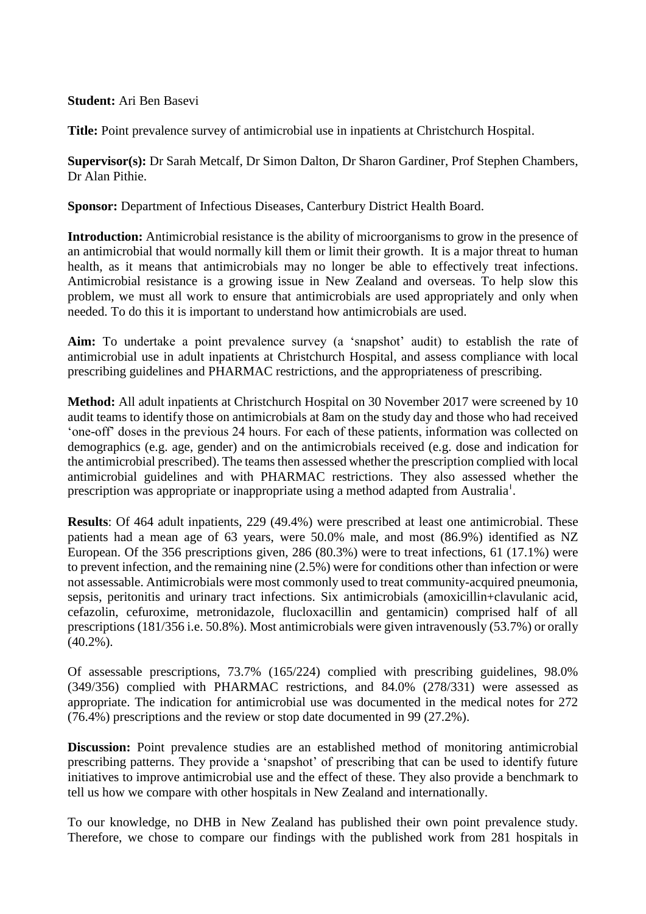## **Student:** Ari Ben Basevi

**Title:** Point prevalence survey of antimicrobial use in inpatients at Christchurch Hospital.

**Supervisor(s):** Dr Sarah Metcalf, Dr Simon Dalton, Dr Sharon Gardiner, Prof Stephen Chambers, Dr Alan Pithie.

**Sponsor:** Department of Infectious Diseases, Canterbury District Health Board.

**Introduction:** Antimicrobial resistance is the ability of microorganisms to grow in the presence of an antimicrobial that would normally kill them or limit their growth. It is a major threat to human health, as it means that antimicrobials may no longer be able to effectively treat infections. Antimicrobial resistance is a growing issue in New Zealand and overseas. To help slow this problem, we must all work to ensure that antimicrobials are used appropriately and only when needed. To do this it is important to understand how antimicrobials are used.

**Aim:** To undertake a point prevalence survey (a 'snapshot' audit) to establish the rate of antimicrobial use in adult inpatients at Christchurch Hospital, and assess compliance with local prescribing guidelines and PHARMAC restrictions, and the appropriateness of prescribing.

**Method:** All adult inpatients at Christchurch Hospital on 30 November 2017 were screened by 10 audit teams to identify those on antimicrobials at 8am on the study day and those who had received 'one-off' doses in the previous 24 hours. For each of these patients, information was collected on demographics (e.g. age, gender) and on the antimicrobials received (e.g. dose and indication for the antimicrobial prescribed). The teams then assessed whether the prescription complied with local antimicrobial guidelines and with PHARMAC restrictions. They also assessed whether the prescription was appropriate or inappropriate using a method adapted from Australia<sup>1</sup>.

**Results**: Of 464 adult inpatients, 229 (49.4%) were prescribed at least one antimicrobial. These patients had a mean age of 63 years, were 50.0% male, and most (86.9%) identified as NZ European. Of the 356 prescriptions given, 286 (80.3%) were to treat infections, 61 (17.1%) were to prevent infection, and the remaining nine (2.5%) were for conditions other than infection or were not assessable. Antimicrobials were most commonly used to treat community-acquired pneumonia, sepsis, peritonitis and urinary tract infections. Six antimicrobials (amoxicillin+clavulanic acid, cefazolin, cefuroxime, metronidazole, flucloxacillin and gentamicin) comprised half of all prescriptions (181/356 i.e. 50.8%). Most antimicrobials were given intravenously (53.7%) or orally  $(40.2\%)$ .

Of assessable prescriptions, 73.7% (165/224) complied with prescribing guidelines, 98.0% (349/356) complied with PHARMAC restrictions, and 84.0% (278/331) were assessed as appropriate. The indication for antimicrobial use was documented in the medical notes for 272 (76.4%) prescriptions and the review or stop date documented in 99 (27.2%).

**Discussion:** Point prevalence studies are an established method of monitoring antimicrobial prescribing patterns. They provide a 'snapshot' of prescribing that can be used to identify future initiatives to improve antimicrobial use and the effect of these. They also provide a benchmark to tell us how we compare with other hospitals in New Zealand and internationally.

To our knowledge, no DHB in New Zealand has published their own point prevalence study. Therefore, we chose to compare our findings with the published work from 281 hospitals in